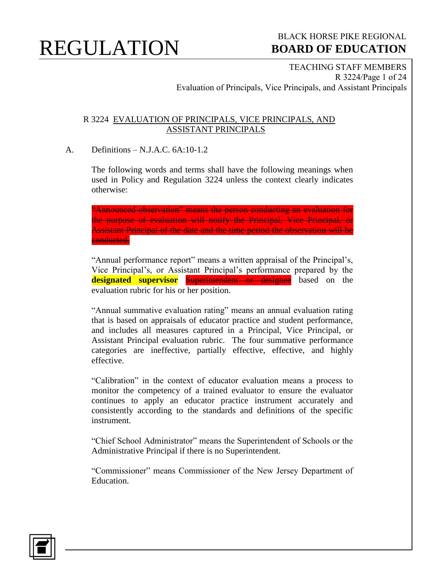#### BLACK HORSE PIKE REGIONAL  **BOARD OF EDUCATION**

TEACHING STAFF MEMBERS R 3224/Page 1 of 24 Evaluation of Principals, Vice Principals, and Assistant Principals

#### R 3224 EVALUATION OF PRINCIPALS, VICE PRINCIPALS, AND ASSISTANT PRINCIPALS

#### A. Definitions – N.J.A.C. 6A:10-1.2

The following words and terms shall have the following meanings when used in Policy and Regulation 3224 unless the context clearly indicates otherwise:

"Announced observation" means the person conducting an evaluation for the purpose of evaluation will notify the Principal, Vice Principal, or Assistant Principal of the date and the time period the observation will be conducted.

"Annual performance report" means a written appraisal of the Principal's, Vice Principal's, or Assistant Principal's performance prepared by the **designated supervisor** Superintendent or designee based on the evaluation rubric for his or her position.

"Annual summative evaluation rating" means an annual evaluation rating that is based on appraisals of educator practice and student performance, and includes all measures captured in a Principal, Vice Principal, or Assistant Principal evaluation rubric. The four summative performance categories are ineffective, partially effective, effective, and highly effective.

"Calibration" in the context of educator evaluation means a process to monitor the competency of a trained evaluator to ensure the evaluator continues to apply an educator practice instrument accurately and consistently according to the standards and definitions of the specific instrument.

"Chief School Administrator" means the Superintendent of Schools or the Administrative Principal if there is no Superintendent.

"Commissioner" means Commissioner of the New Jersey Department of Education.

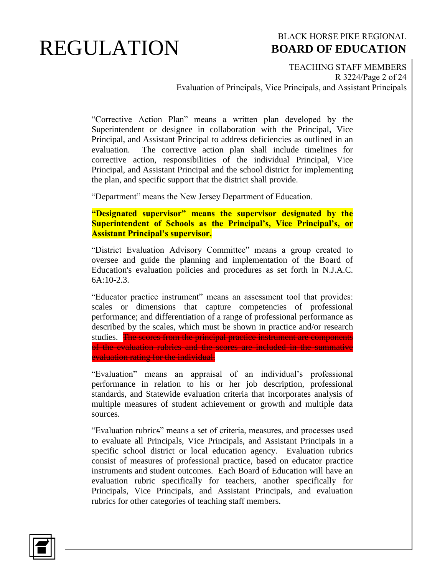#### BLACK HORSE PIKE REGIONAL  **BOARD OF EDUCATION**

TEACHING STAFF MEMBERS R 3224/Page 2 of 24 Evaluation of Principals, Vice Principals, and Assistant Principals

"Corrective Action Plan" means a written plan developed by the Superintendent or designee in collaboration with the Principal, Vice Principal, and Assistant Principal to address deficiencies as outlined in an evaluation. The corrective action plan shall include timelines for corrective action, responsibilities of the individual Principal, Vice Principal, and Assistant Principal and the school district for implementing the plan, and specific support that the district shall provide.

"Department" means the New Jersey Department of Education.

**"Designated supervisor" means the supervisor designated by the Superintendent of Schools as the Principal's, Vice Principal's, or Assistant Principal's supervisor.** 

"District Evaluation Advisory Committee" means a group created to oversee and guide the planning and implementation of the Board of Education's evaluation policies and procedures as set forth in N.J.A.C. 6A:10-2.3.

"Educator practice instrument" means an assessment tool that provides: scales or dimensions that capture competencies of professional performance; and differentiation of a range of professional performance as described by the scales, which must be shown in practice and/or research studies. The scores from the principal practice instrument are components of the evaluation rubrics and the scores are included in the summative evaluation rating for the individual.

"Evaluation" means an appraisal of an individual's professional performance in relation to his or her job description, professional standards, and Statewide evaluation criteria that incorporates analysis of multiple measures of student achievement or growth and multiple data sources.

"Evaluation rubrics" means a set of criteria, measures, and processes used to evaluate all Principals, Vice Principals, and Assistant Principals in a specific school district or local education agency. Evaluation rubrics consist of measures of professional practice, based on educator practice instruments and student outcomes. Each Board of Education will have an evaluation rubric specifically for teachers, another specifically for Principals, Vice Principals, and Assistant Principals, and evaluation rubrics for other categories of teaching staff members.

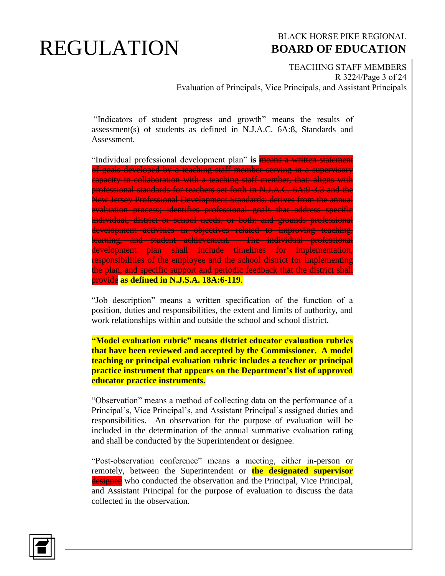#### BLACK HORSE PIKE REGIONAL  **BOARD OF EDUCATION**

TEACHING STAFF MEMBERS R 3224/Page 3 of 24 Evaluation of Principals, Vice Principals, and Assistant Principals

"Indicators of student progress and growth" means the results of assessment(s) of students as defined in N.J.A.C. 6A:8, Standards and Assessment.

"Individual professional development plan" **is** means a written statement of goals developed by a teaching staff member serving in a supervisory capacity in collaboration with a teaching staff member, that: aligns with professional standards for teachers set forth in N.J.A.C. 6A:9-3.3 and the New Jersey Professional Development Standards: derives from the annual evaluation process; identifies professional goals that address specific individual, district or school needs, or both; and grounds professional development activities in objectives related to improving teaching, learning, and student achievement. The individual professional development plan shall include timelines for implementation, responsibilities of the employee and the school district for implementing the plan, and specific support and periodic feedback that the district shall provide **as defined in N.J.S.A. 18A:6-119**.

"Job description" means a written specification of the function of a position, duties and responsibilities, the extent and limits of authority, and work relationships within and outside the school and school district.

**"Model evaluation rubric" means district educator evaluation rubrics that have been reviewed and accepted by the Commissioner. A model teaching or principal evaluation rubric includes a teacher or principal practice instrument that appears on the Department's list of approved educator practice instruments.** 

"Observation" means a method of collecting data on the performance of a Principal's, Vice Principal's, and Assistant Principal's assigned duties and responsibilities. An observation for the purpose of evaluation will be included in the determination of the annual summative evaluation rating and shall be conducted by the Superintendent or designee.

"Post-observation conference" means a meeting, either in-person or remotely, between the Superintendent or **the designated supervisor** designee who conducted the observation and the Principal, Vice Principal, and Assistant Principal for the purpose of evaluation to discuss the data collected in the observation.

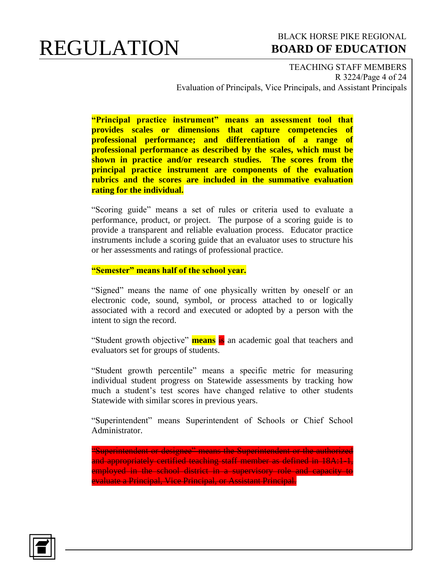#### BLACK HORSE PIKE REGIONAL  **BOARD OF EDUCATION**

TEACHING STAFF MEMBERS R 3224/Page 4 of 24 Evaluation of Principals, Vice Principals, and Assistant Principals

**"Principal practice instrument" means an assessment tool that provides scales or dimensions that capture competencies of professional performance; and differentiation of a range of professional performance as described by the scales, which must be shown in practice and/or research studies. The scores from the principal practice instrument are components of the evaluation rubrics and the scores are included in the summative evaluation rating for the individual.**

"Scoring guide" means a set of rules or criteria used to evaluate a performance, product, or project. The purpose of a scoring guide is to provide a transparent and reliable evaluation process. Educator practice instruments include a scoring guide that an evaluator uses to structure his or her assessments and ratings of professional practice.

**"Semester" means half of the school year.**

"Signed" means the name of one physically written by oneself or an electronic code, sound, symbol, or process attached to or logically associated with a record and executed or adopted by a person with the intent to sign the record.

"Student growth objective" **means** is an academic goal that teachers and evaluators set for groups of students.

"Student growth percentile" means a specific metric for measuring individual student progress on Statewide assessments by tracking how much a student's test scores have changed relative to other students Statewide with similar scores in previous years.

"Superintendent" means Superintendent of Schools or Chief School Administrator.

"Superintendent or designee" means the Superintendent or the authorized and appropriately certified teaching staff member as defined in 18A:1-1, employed in the school district in a supervisory role and capacity to evaluate a Principal, Vice Principal, or Assistant Principal.

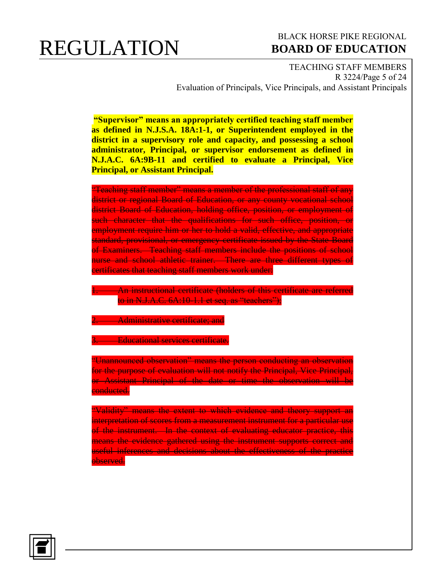#### BLACK HORSE PIKE REGIONAL  **BOARD OF EDUCATION**

TEACHING STAFF MEMBERS R 3224/Page 5 of 24 Evaluation of Principals, Vice Principals, and Assistant Principals

**"Supervisor" means an appropriately certified teaching staff member as defined in N.J.S.A. 18A:1-1, or Superintendent employed in the district in a supervisory role and capacity, and possessing a school administrator, Principal, or supervisor endorsement as defined in N.J.A.C. 6A:9B-11 and certified to evaluate a Principal, Vice Principal, or Assistant Principal.**

"Teaching staff member" means a member of the professional staff of any district or regional Board of Education, or any county vocational school district Board of Education, holding office, position, or employment of such character that the qualifications for such office, position, or employment require him or her to hold a valid, effective, and appropriate standard, provisional, or emergency certificate issued by the State Board of Examiners. Teaching staff members include the positions of school nurse and school athletic trainer. There are three different types of certificates that teaching staff members work under:

**1. An instructional certificate (holders of this certificate are referred** to in N.J.A.C. 6A:10-1.1 et seq. as "teachers");

**2. Administrative certificate; and** 

**3. Educational services certificate.** 

"Unannounced observation" means the person conducting an observation for the purpose of evaluation will not notify the Principal, Vice Principal, or Assistant Principal of the date or time the observation will be conducted.

"Validity" means the extent to which evidence and theory support an interpretation of scores from a measurement instrument for a particular use of the instrument. In the context of evaluating educator practice, this means the evidence gathered using the instrument supports correct and useful inferences and decisions about the effectiveness of the practice observed.

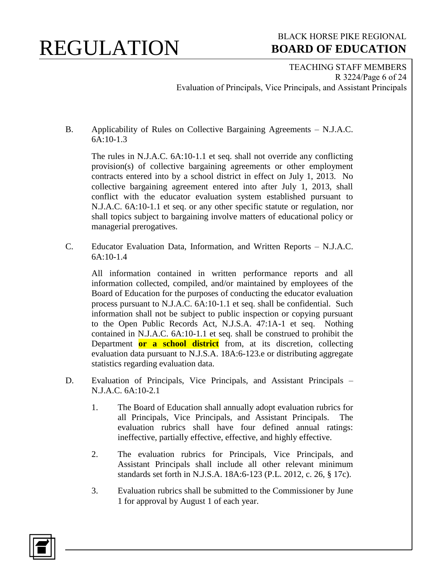### BLACK HORSE PIKE REGIONAL  **BOARD OF EDUCATION**

TEACHING STAFF MEMBERS R 3224/Page 6 of 24 Evaluation of Principals, Vice Principals, and Assistant Principals

B. Applicability of Rules on Collective Bargaining Agreements – N.J.A.C. 6A:10-1.3

The rules in N.J.A.C. 6A:10-1.1 et seq. shall not override any conflicting provision(s) of collective bargaining agreements or other employment contracts entered into by a school district in effect on July 1, 2013. No collective bargaining agreement entered into after July 1, 2013, shall conflict with the educator evaluation system established pursuant to N.J.A.C. 6A:10-1.1 et seq. or any other specific statute or regulation, nor shall topics subject to bargaining involve matters of educational policy or managerial prerogatives.

C. Educator Evaluation Data, Information, and Written Reports – N.J.A.C. 6A:10-1.4

All information contained in written performance reports and all information collected, compiled, and/or maintained by employees of the Board of Education for the purposes of conducting the educator evaluation process pursuant to N.J.A.C. 6A:10-1.1 et seq. shall be confidential. Such information shall not be subject to public inspection or copying pursuant to the Open Public Records Act, N.J.S.A. 47:1A-1 et seq. Nothing contained in N.J.A.C. 6A:10-1.1 et seq. shall be construed to prohibit the Department **or a school district** from, at its discretion, collecting evaluation data pursuant to N.J.S.A. 18A:6-123.e or distributing aggregate statistics regarding evaluation data.

- D. Evaluation of Principals, Vice Principals, and Assistant Principals N.J.A.C. 6A:10-2.1
	- 1. The Board of Education shall annually adopt evaluation rubrics for all Principals, Vice Principals, and Assistant Principals. The evaluation rubrics shall have four defined annual ratings: ineffective, partially effective, effective, and highly effective.
	- 2. The evaluation rubrics for Principals, Vice Principals, and Assistant Principals shall include all other relevant minimum standards set forth in N.J.S.A. 18A:6-123 (P.L. 2012, c. 26, § 17c).
	- 3. Evaluation rubrics shall be submitted to the Commissioner by June 1 for approval by August 1 of each year.

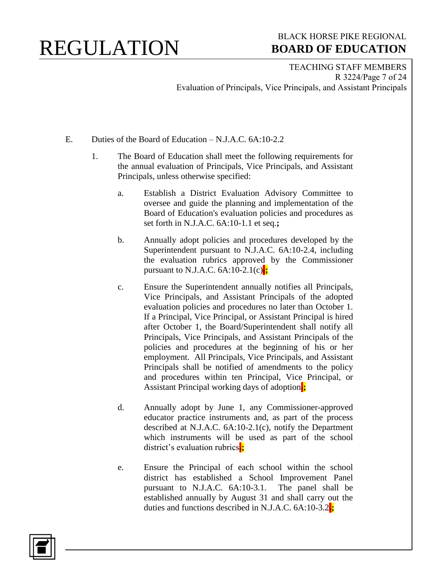### BLACK HORSE PIKE REGIONAL  **BOARD OF EDUCATION**

TEACHING STAFF MEMBERS R 3224/Page 7 of 24 Evaluation of Principals, Vice Principals, and Assistant Principals

- E. Duties of the Board of Education N.J.A.C. 6A:10-2.2
	- 1. The Board of Education shall meet the following requirements for the annual evaluation of Principals, Vice Principals, and Assistant Principals, unless otherwise specified:
		- a. Establish a District Evaluation Advisory Committee to oversee and guide the planning and implementation of the Board of Education's evaluation policies and procedures as set forth in N.J.A.C. 6A:10-1.1 et seq.**;**
		- b. Annually adopt policies and procedures developed by the Superintendent pursuant to N.J.A.C. 6A:10-2.4, including the evaluation rubrics approved by the Commissioner pursuant to N.J.A.C.  $6A:10-2.1(c)$ :
		- c. Ensure the Superintendent annually notifies all Principals, Vice Principals, and Assistant Principals of the adopted evaluation policies and procedures no later than October 1. If a Principal, Vice Principal, or Assistant Principal is hired after October 1, the Board/Superintendent shall notify all Principals, Vice Principals, and Assistant Principals of the policies and procedures at the beginning of his or her employment. All Principals, Vice Principals, and Assistant Principals shall be notified of amendments to the policy and procedures within ten Principal, Vice Principal, or Assistant Principal working days of adoption.**;**
		- d. Annually adopt by June 1, any Commissioner-approved educator practice instruments and, as part of the process described at N.J.A.C. 6A:10-2.1(c), notify the Department which instruments will be used as part of the school district's evaluation rubrics.**;**
		- e. Ensure the Principal of each school within the school district has established a School Improvement Panel pursuant to N.J.A.C. 6A:10-3.1. The panel shall be established annually by August 31 and shall carry out the duties and functions described in N.J.A.C. 6A:10-3.2.**;**

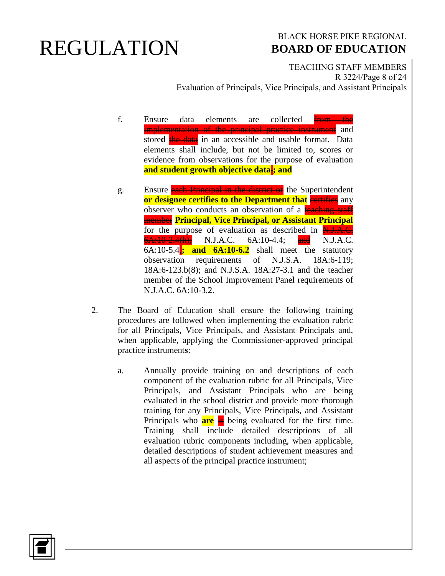#### BLACK HORSE PIKE REGIONAL  **BOARD OF EDUCATION**

TEACHING STAFF MEMBERS R 3224/Page 8 of 24 Evaluation of Principals, Vice Principals, and Assistant Principals

- f. Ensure data elements are collected **from the** implementation of the principal practice instrument and stored the data in an accessible and usable format. Data elements shall include, but not be limited to, scores or evidence from observations for the purpose of evaluation **and student growth objective data**.**; and**
- g. Ensure each Principal in the district or the Superintendent **or designee certifies to the Department that** even in any observer who conducts an observation of a teaching staff member **Principal, Vice Principal, or Assistant Principal** for the purpose of evaluation as described in N.J.A.C.  $6A:10-2.4(h)$ ; N.J.A.C.  $6A:10-4.4$ ; and N.J.A.C.  $6A:10-5.4$ ; and  $6A:10-6.2$  shall meet the statutory observation requirements of N.J.S.A. 18A:6-119; 18A:6-123.b(8); and N.J.S.A. 18A:27-3.1 and the teacher member of the School Improvement Panel requirements of N.J.A.C. 6A:10-3.2.
- 2. The Board of Education shall ensure the following training procedures are followed when implementing the evaluation rubric for all Principals, Vice Principals, and Assistant Principals and, when applicable, applying the Commissioner-approved principal practice instrument**s**:
	- a. Annually provide training on and descriptions of each component of the evaluation rubric for all Principals, Vice Principals, and Assistant Principals who are being evaluated in the school district and provide more thorough training for any Principals, Vice Principals, and Assistant Principals who **are** is being evaluated for the first time. Training shall include detailed descriptions of all evaluation rubric components including, when applicable, detailed descriptions of student achievement measures and all aspects of the principal practice instrument;

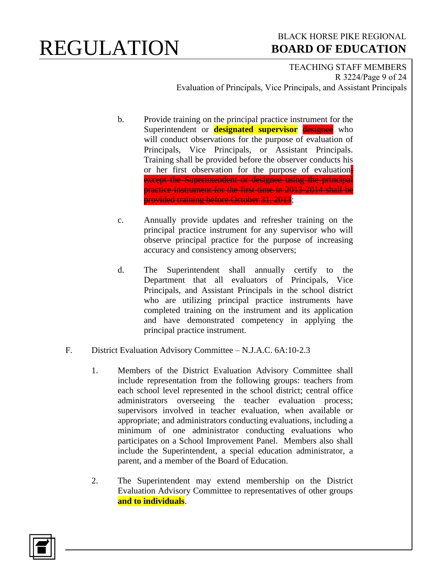#### BLACK HORSE PIKE REGIONAL  **BOARD OF EDUCATION**

TEACHING STAFF MEMBERS R 3224/Page 9 of 24 Evaluation of Principals, Vice Principals, and Assistant Principals

- b. Provide training on the principal practice instrument for the Superintendent or **designated supervisor** designee who will conduct observations for the purpose of evaluation of Principals, Vice Principals, or Assistant Principals. Training shall be provided before the observer conducts his or her first observation for the purpose of evaluation; except the Superintendent or designee using the principal practice instrument for the first time in 2013-2014 shall be provided training before October 31, 2013;
- c. Annually provide updates and refresher training on the principal practice instrument for any supervisor who will observe principal practice for the purpose of increasing accuracy and consistency among observers;
- d. The Superintendent shall annually certify to the Department that all evaluators of Principals, Vice Principals, and Assistant Principals in the school district who are utilizing principal practice instruments have completed training on the instrument and its application and have demonstrated competency in applying the principal practice instrument.
- F. District Evaluation Advisory Committee N.J.A.C. 6A:10-2.3
	- 1. Members of the District Evaluation Advisory Committee shall include representation from the following groups: teachers from each school level represented in the school district; central office administrators overseeing the teacher evaluation process; supervisors involved in teacher evaluation, when available or appropriate; and administrators conducting evaluations, including a minimum of one administrator conducting evaluations who participates on a School Improvement Panel. Members also shall include the Superintendent, a special education administrator, a parent, and a member of the Board of Education.
	- 2. The Superintendent may extend membership on the District Evaluation Advisory Committee to representatives of other groups **and to individuals**.

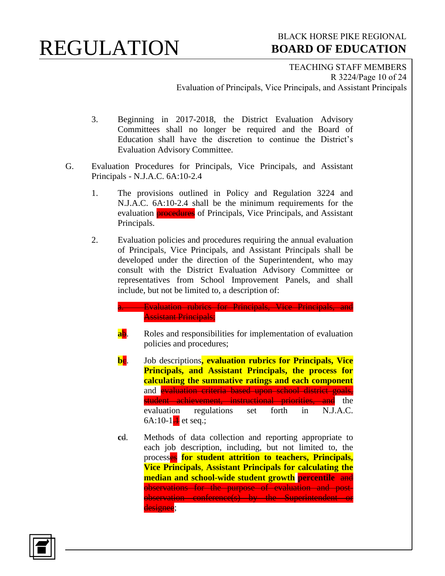### BLACK HORSE PIKE REGIONAL  **BOARD OF EDUCATION**

TEACHING STAFF MEMBERS R 3224/Page 10 of 24 Evaluation of Principals, Vice Principals, and Assistant Principals

- 3. Beginning in 2017-2018, the District Evaluation Advisory Committees shall no longer be required and the Board of Education shall have the discretion to continue the District's Evaluation Advisory Committee.
- G. Evaluation Procedures for Principals, Vice Principals, and Assistant Principals - N.J.A.C. 6A:10-2.4
	- 1. The provisions outlined in Policy and Regulation 3224 and N.J.A.C. 6A:10-2.4 shall be the minimum requirements for the evaluation **procedures** of Principals, Vice Principals, and Assistant Principals.
	- 2. Evaluation policies and procedures requiring the annual evaluation of Principals, Vice Principals, and Assistant Principals shall be developed under the direction of the Superintendent, who may consult with the District Evaluation Advisory Committee or representatives from School Improvement Panels, and shall include, but not be limited to, a description of:

```
Evaluation rubrics for Principals, Vice Principals, and
Assistant Principals;
```
- **ab.** Roles and responsibilities for implementation of evaluation policies and procedures;
- **be.** Job descriptions, evaluation rubrics for Principals, Vice **Principals, and Assistant Principals, the process for calculating the summative ratings and each component** and **evaluation criteria based upon school district goals**, student achievement, instructional priorities, and the<br>evaluation regulations set forth in N.J.A.C. evaluation regulations set forth in N.J.A.C. 6A:10-1 $\frac{1}{1}$  et seq.;
- **c**d. Methods of data collection and reporting appropriate to each job description, including, but not limited to, the processes **for student attrition to teachers, Principals, Vice Principals**, **Assistant Principals for calculating the median and school-wide student growth percentile** and observations for the purpose of evaluation and postobservation conference(s) by the Superintendent or designee:

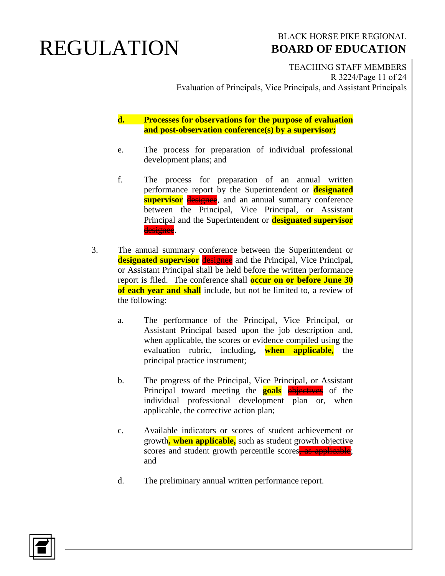#### BLACK HORSE PIKE REGIONAL  **BOARD OF EDUCATION**

TEACHING STAFF MEMBERS R 3224/Page 11 of 24 Evaluation of Principals, Vice Principals, and Assistant Principals

**d. Processes for observations for the purpose of evaluation and post-observation conference(s) by a supervisor;**

- e. The process for preparation of individual professional development plans; and
- f. The process for preparation of an annual written performance report by the Superintendent or **designated supervisor** designee, and an annual summary conference between the Principal, Vice Principal, or Assistant Principal and the Superintendent or **designated supervisor** designee.
- 3. The annual summary conference between the Superintendent or **designated supervisor designee** and the Principal, Vice Principal, or Assistant Principal shall be held before the written performance report is filed. The conference shall **occur on or before June 30 of each year and shall** include, but not be limited to, a review of the following:
	- a. The performance of the Principal, Vice Principal, or Assistant Principal based upon the job description and, when applicable, the scores or evidence compiled using the evaluation rubric, including**, when applicable,** the principal practice instrument;
	- b. The progress of the Principal, Vice Principal, or Assistant Principal toward meeting the **goals objectives** of the individual professional development plan or, when applicable, the corrective action plan;
	- c. Available indicators or scores of student achievement or growth**, when applicable,** such as student growth objective scores and student growth percentile scores, as applicable; and
	- d. The preliminary annual written performance report.

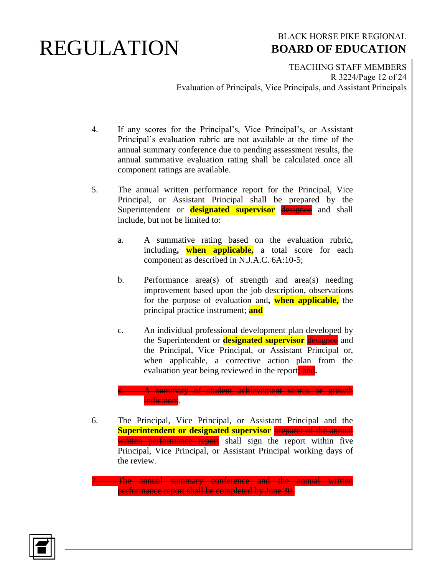#### BLACK HORSE PIKE REGIONAL  **BOARD OF EDUCATION**

TEACHING STAFF MEMBERS R 3224/Page 12 of 24 Evaluation of Principals, Vice Principals, and Assistant Principals

- 4. If any scores for the Principal's, Vice Principal's, or Assistant Principal's evaluation rubric are not available at the time of the annual summary conference due to pending assessment results, the annual summative evaluation rating shall be calculated once all component ratings are available.
- 5. The annual written performance report for the Principal, Vice Principal, or Assistant Principal shall be prepared by the Superintendent or **designated supervisor** designee and shall include, but not be limited to:
	- a. A summative rating based on the evaluation rubric, including**, when applicable,** a total score for each component as described in N.J.A.C. 6A:10-5;
	- b. Performance area(s) of strength and area(s) needing improvement based upon the job description, observations for the purpose of evaluation and**, when applicable,** the principal practice instrument; **and**
	- c. An individual professional development plan developed by the Superintendent or **designated supervisor** designee and the Principal, Vice Principal, or Assistant Principal or, when applicable, a corrective action plan from the evaluation year being reviewed in the report<sub>; and</sub>.

l. A summary of student achievement scores or growth indicators.

6. The Principal, Vice Principal, or Assistant Principal and the **Superintendent or designated supervisor** preparer of the annual written performance report shall sign the report within five Principal, Vice Principal, or Assistant Principal working days of the review.

The annual summary conference and the annual written performance report shall be completed by June 30.

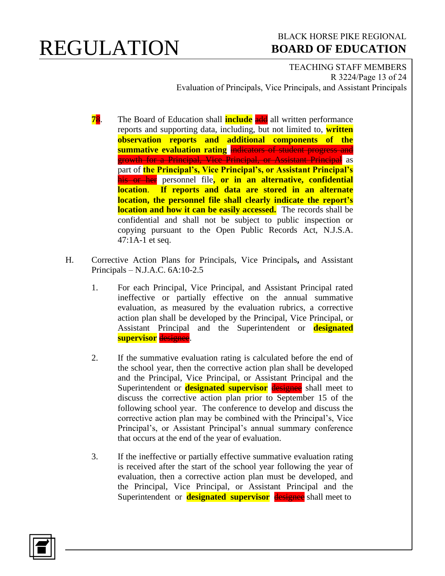#### BLACK HORSE PIKE REGIONAL  **BOARD OF EDUCATION**

TEACHING STAFF MEMBERS R 3224/Page 13 of 24 Evaluation of Principals, Vice Principals, and Assistant Principals

- **78**. The Board of Education shall **include** and all written performance reports and supporting data, including, but not limited to, **written observation reports and additional components of the summative evaluation rating** indicators of student progress and growth for a Principal, Vice Principal, or Assistant Principal as part of **the Principal's, Vice Principal's, or Assistant Principal's** his or her personnel file**, or in an alternative, confidential location**. **If reports and data are stored in an alternate location, the personnel file shall clearly indicate the report's location and how it can be easily accessed.** The records shall be confidential and shall not be subject to public inspection or copying pursuant to the Open Public Records Act, N.J.S.A. 47:1A-1 et seq.
- H. Corrective Action Plans for Principals, Vice Principals**,** and Assistant Principals – N.J.A.C. 6A:10-2.5
	- 1. For each Principal, Vice Principal, and Assistant Principal rated ineffective or partially effective on the annual summative evaluation, as measured by the evaluation rubrics, a corrective action plan shall be developed by the Principal, Vice Principal, or Assistant Principal and the Superintendent or **designated supervisor** designee.
	- 2. If the summative evaluation rating is calculated before the end of the school year, then the corrective action plan shall be developed and the Principal, Vice Principal, or Assistant Principal and the Superintendent or **designated supervisor** designee shall meet to discuss the corrective action plan prior to September 15 of the following school year. The conference to develop and discuss the corrective action plan may be combined with the Principal's, Vice Principal's, or Assistant Principal's annual summary conference that occurs at the end of the year of evaluation.
	- 3. If the ineffective or partially effective summative evaluation rating is received after the start of the school year following the year of evaluation, then a corrective action plan must be developed, and the Principal, Vice Principal, or Assistant Principal and the Superintendent or **designated supervisor** designee shall meet to

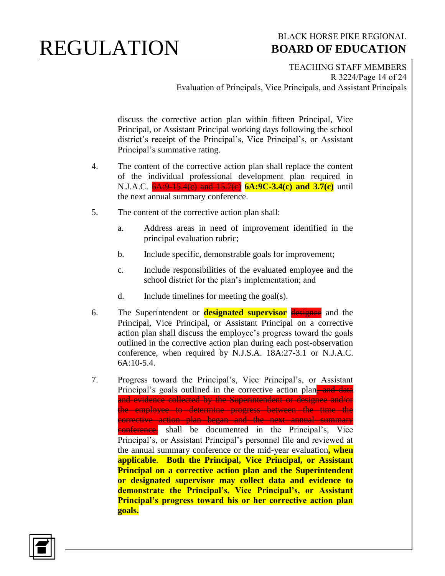### BLACK HORSE PIKE REGIONAL  **BOARD OF EDUCATION**

TEACHING STAFF MEMBERS R 3224/Page 14 of 24 Evaluation of Principals, Vice Principals, and Assistant Principals

discuss the corrective action plan within fifteen Principal, Vice Principal, or Assistant Principal working days following the school district's receipt of the Principal's, Vice Principal's, or Assistant Principal's summative rating.

- 4. The content of the corrective action plan shall replace the content of the individual professional development plan required in N.J.A.C. 6A:9 15.4(c) and 15.7(c) 6A:9C-3.4(c) and 3.7(c) until the next annual summary conference.
- 5. The content of the corrective action plan shall:
	- a. Address areas in need of improvement identified in the principal evaluation rubric;
	- b. Include specific, demonstrable goals for improvement;
	- c. Include responsibilities of the evaluated employee and the school district for the plan's implementation; and
	- d. Include timelines for meeting the goal(s).
- 6. The Superintendent or **designated supervisor** designee and the Principal, Vice Principal, or Assistant Principal on a corrective action plan shall discuss the employee's progress toward the goals outlined in the corrective action plan during each post-observation conference, when required by N.J.S.A. 18A:27-3.1 or N.J.A.C. 6A:10-5.4.
- 7. Progress toward the Principal's, Vice Principal's, or Assistant Principal's goals outlined in the corrective action plan, and data and evidence collected by the Superintendent or designee and/or the employee to determine progress between the time the corrective action plan began and the next annual summary conference, shall be documented in the Principal's, Vice Principal's, or Assistant Principal's personnel file and reviewed at the annual summary conference or the mid-year evaluation**, when applicable**. **Both the Principal, Vice Principal, or Assistant Principal on a corrective action plan and the Superintendent or designated supervisor may collect data and evidence to demonstrate the Principal's, Vice Principal's, or Assistant Principal's progress toward his or her corrective action plan goals.**

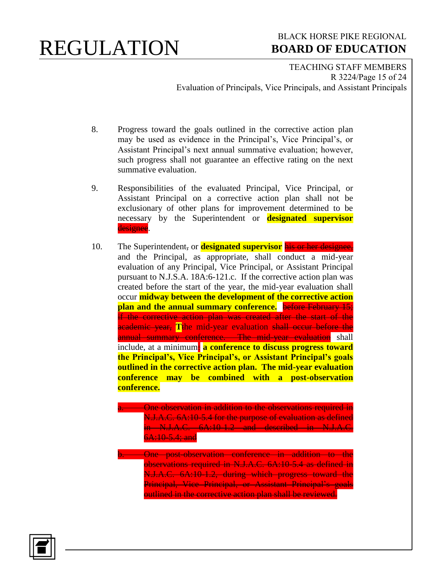#### BLACK HORSE PIKE REGIONAL  **BOARD OF EDUCATION**

TEACHING STAFF MEMBERS R 3224/Page 15 of 24 Evaluation of Principals, Vice Principals, and Assistant Principals

- 8. Progress toward the goals outlined in the corrective action plan may be used as evidence in the Principal's, Vice Principal's, or Assistant Principal's next annual summative evaluation; however, such progress shall not guarantee an effective rating on the next summative evaluation.
- 9. Responsibilities of the evaluated Principal, Vice Principal, or Assistant Principal on a corrective action plan shall not be exclusionary of other plans for improvement determined to be necessary by the Superintendent or **designated supervisor** designee.
- 10. The Superintendent, or **designated supervisor** his or her designee, and the Principal, as appropriate, shall conduct a mid-year evaluation of any Principal, Vice Principal, or Assistant Principal pursuant to N.J.S.A. 18A:6-121.c. If the corrective action plan was created before the start of the year, the mid-year evaluation shall occur **midway between the development of the corrective action plan and the annual summary conference.** before February 15; if the corrective action plan was created after the start of the academic year, **T**the mid-year evaluation shall occur before the annual summary conference. The mid-year evaluation shall include, at a minimum: **a conference to discuss progress toward the Principal's, Vice Principal's, or Assistant Principal's goals outlined in the corrective action plan. The mid-year evaluation conference may be combined with a post-observation conference.** 
	- **a.** One observation in addition to the observations required in N.J.A.C. 6A:10-5.4 for the purpose of evaluation as defined in N.J.A.C. 6A:10-1.2 and described in N.J.A.C.  $6A:10-5.4$ ; and
		- **One post-observation conference in addition to the** observations required in N.J.A.C. 6A:10-5.4 as defined in N.J.A.C. 6A:10-1.2, during which progress toward the Principal, Vice Principal, or Assistant Principal's goals outlined in the corrective action plan shall be reviewed.

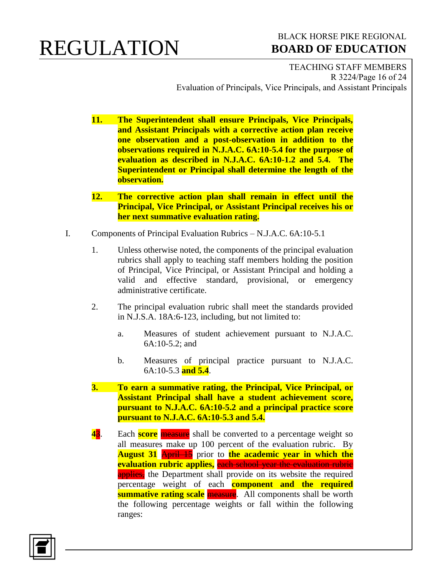#### BLACK HORSE PIKE REGIONAL  **BOARD OF EDUCATION**

TEACHING STAFF MEMBERS R 3224/Page 16 of 24 Evaluation of Principals, Vice Principals, and Assistant Principals

- **11. The Superintendent shall ensure Principals, Vice Principals, and Assistant Principals with a corrective action plan receive one observation and a post-observation in addition to the observations required in N.J.A.C. 6A:10-5.4 for the purpose of evaluation as described in N.J.A.C. 6A:10-1.2 and 5.4. The Superintendent or Principal shall determine the length of the observation.**
- **12. The corrective action plan shall remain in effect until the Principal, Vice Principal, or Assistant Principal receives his or her next summative evaluation rating.**
- I. Components of Principal Evaluation Rubrics N.J.A.C. 6A:10-5.1
	- 1. Unless otherwise noted, the components of the principal evaluation rubrics shall apply to teaching staff members holding the position of Principal, Vice Principal, or Assistant Principal and holding a valid and effective standard, provisional, or emergency administrative certificate.
	- 2. The principal evaluation rubric shall meet the standards provided in N.J.S.A. 18A:6-123, including, but not limited to:
		- a. Measures of student achievement pursuant to N.J.A.C. 6A:10-5.2; and
		- b. Measures of principal practice pursuant to N.J.A.C. 6A:10-5.3 **and 5.4**.
	- **3. To earn a summative rating, the Principal, Vice Principal, or Assistant Principal shall have a student achievement score, pursuant to N.J.A.C. 6A:10-5.2 and a principal practice score pursuant to N.J.A.C. 6A:10-5.3 and 5.4.**
	- **43.** Each **score** measure shall be converted to a percentage weight so all measures make up 100 percent of the evaluation rubric. By **August 31** April 15 prior to the academic year in which the **evaluation rubric applies,** each school year the evaluation rubric applies, the Department shall provide on its website the required percentage weight of each **component and the required summative rating scale measure**. All components shall be worth the following percentage weights or fall within the following ranges:

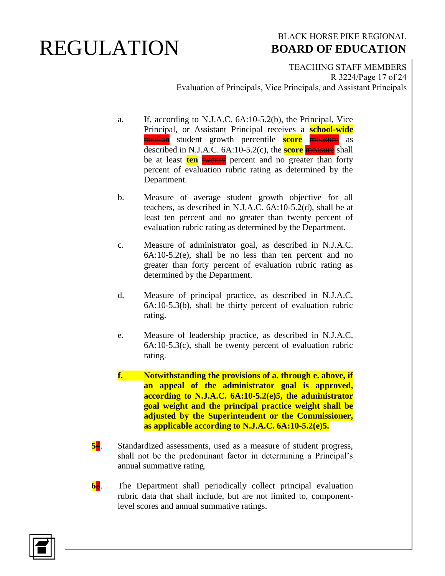### BLACK HORSE PIKE REGIONAL  **BOARD OF EDUCATION**

TEACHING STAFF MEMBERS R 3224/Page 17 of 24 Evaluation of Principals, Vice Principals, and Assistant Principals

- a. If, according to N.J.A.C. 6A:10-5.2(b), the Principal, Vice Principal, or Assistant Principal receives a **school-wide** median student growth percentile **score** measure as described in N.J.A.C. 6A:10-5.2(c), the **score** measure shall be at least **ten twenty** percent and no greater than forty percent of evaluation rubric rating as determined by the Department.
- b. Measure of average student growth objective for all teachers, as described in N.J.A.C. 6A:10-5.2(d), shall be at least ten percent and no greater than twenty percent of evaluation rubric rating as determined by the Department.
- c. Measure of administrator goal, as described in N.J.A.C. 6A:10-5.2(e), shall be no less than ten percent and no greater than forty percent of evaluation rubric rating as determined by the Department.
- d. Measure of principal practice, as described in N.J.A.C. 6A:10-5.3(b), shall be thirty percent of evaluation rubric rating.
- e. Measure of leadership practice, as described in N.J.A.C.  $6A:10-5.3(c)$ , shall be twenty percent of evaluation rubric rating.
- **f. Notwithstanding the provisions of a. through e. above, if an appeal of the administrator goal is approved, according to N.J.A.C. 6A:10-5.2(e)5, the administrator goal weight and the principal practice weight shall be adjusted by the Superintendent or the Commissioner, as applicable according to N.J.A.C. 6A:10-5.2(e)5.**
- **5**4. Standardized assessments, used as a measure of student progress, shall not be the predominant factor in determining a Principal's annual summative rating.
- **6**5. The Department shall periodically collect principal evaluation rubric data that shall include, but are not limited to, componentlevel scores and annual summative ratings.

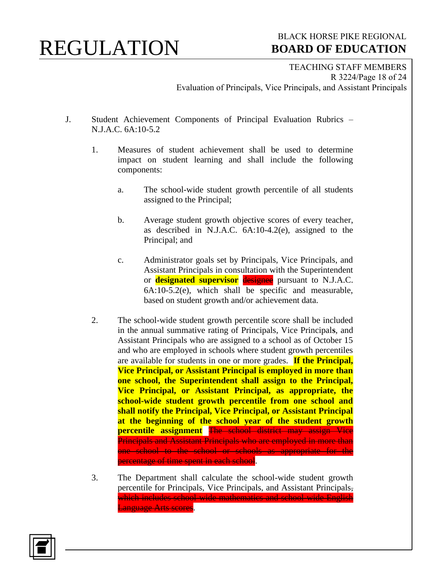#### BLACK HORSE PIKE REGIONAL  **BOARD OF EDUCATION**

TEACHING STAFF MEMBERS R 3224/Page 18 of 24 Evaluation of Principals, Vice Principals, and Assistant Principals

- J. Student Achievement Components of Principal Evaluation Rubrics N.J.A.C. 6A:10-5.2
	- 1. Measures of student achievement shall be used to determine impact on student learning and shall include the following components:
		- a. The school-wide student growth percentile of all students assigned to the Principal;
		- b. Average student growth objective scores of every teacher, as described in N.J.A.C. 6A:10-4.2(e), assigned to the Principal; and
		- c. Administrator goals set by Principals, Vice Principals, and Assistant Principals in consultation with the Superintendent or **designated supervisor** designee pursuant to N.J.A.C.  $6A:10-5.2(e)$ , which shall be specific and measurable, based on student growth and/or achievement data.
	- 2. The school-wide student growth percentile score shall be included in the annual summative rating of Principals, Vice Principal**s**, and Assistant Principals who are assigned to a school as of October 15 and who are employed in schools where student growth percentiles are available for students in one or more grades. **If the Principal, Vice Principal, or Assistant Principal is employed in more than one school, the Superintendent shall assign to the Principal, Vice Principal, or Assistant Principal, as appropriate, the school-wide student growth percentile from one school and shall notify the Principal, Vice Principal, or Assistant Principal at the beginning of the school year of the student growth percentile assignment** The school district may assign Vice Principals and Assistant Principals who are employed in more than one school to the school or schools as appropriate for the percentage of time spent in each school.
	- 3. The Department shall calculate the school-wide student growth percentile for Principals, Vice Principals, and Assistant Principals, which includes school-wide mathematics and school-wide English Language Arts scores.

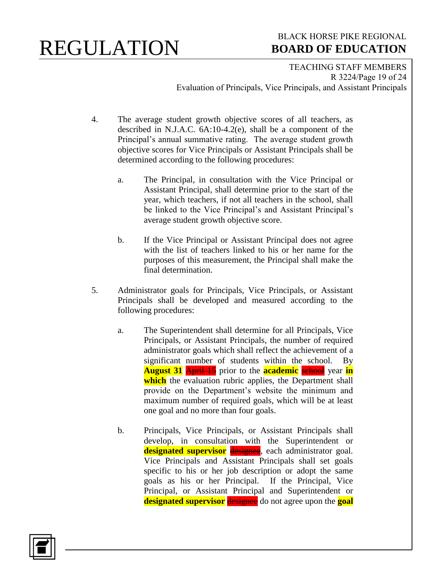### BLACK HORSE PIKE REGIONAL  **BOARD OF EDUCATION**

TEACHING STAFF MEMBERS R 3224/Page 19 of 24 Evaluation of Principals, Vice Principals, and Assistant Principals

- 4. The average student growth objective scores of all teachers, as described in N.J.A.C. 6A:10-4.2(e), shall be a component of the Principal's annual summative rating. The average student growth objective scores for Vice Principals or Assistant Principals shall be determined according to the following procedures:
	- a. The Principal, in consultation with the Vice Principal or Assistant Principal, shall determine prior to the start of the year, which teachers, if not all teachers in the school, shall be linked to the Vice Principal's and Assistant Principal's average student growth objective score.
	- b. If the Vice Principal or Assistant Principal does not agree with the list of teachers linked to his or her name for the purposes of this measurement, the Principal shall make the final determination.
- 5. Administrator goals for Principals, Vice Principals, or Assistant Principals shall be developed and measured according to the following procedures:
	- a. The Superintendent shall determine for all Principals, Vice Principals, or Assistant Principals, the number of required administrator goals which shall reflect the achievement of a significant number of students within the school. By **August 31** April 15 prior to the **academic** school year **in** which the evaluation rubric applies, the Department shall provide on the Department's website the minimum and maximum number of required goals, which will be at least one goal and no more than four goals.
	- b. Principals, Vice Principals, or Assistant Principals shall develop, in consultation with the Superintendent or **designated supervisor** designee, each administrator goal. Vice Principals and Assistant Principals shall set goals specific to his or her job description or adopt the same goals as his or her Principal. If the Principal, Vice Principal, or Assistant Principal and Superintendent or **designated supervisor** designee do not agree upon the **goal**

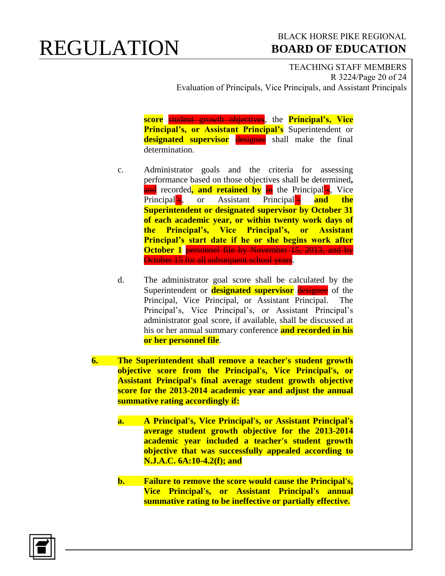#### BLACK HORSE PIKE REGIONAL  **BOARD OF EDUCATION**

TEACHING STAFF MEMBERS R 3224/Page 20 of 24 Evaluation of Principals, Vice Principals, and Assistant Principals

**score** student growth objectives, the **Principal's, Vice Principal's, or Assistant Principal's** Superintendent or **designated supervisor** designee shall make the final determination.

- c. Administrator goals and the criteria for assessing performance based on those objectives shall be determined**,** and recorded, **and retained by** in the Principal<sup>2</sup>s, Vice Principal's, or Assistant Principal's **and the Superintendent or designated supervisor by October 31 of each academic year, or within twenty work days of the Principal's, Vice Principal's, or Assistant Principal's start date if he or she begins work after October 1** personnel file by November 15, 2013, and by October 15 for all subsequent school years.
- d. The administrator goal score shall be calculated by the Superintendent or **designated supervisor** designee of the Principal, Vice Principal, or Assistant Principal. The Principal's, Vice Principal's, or Assistant Principal's administrator goal score, if available, shall be discussed at his or her annual summary conference **and recorded in his or her personnel file**.
- **6. The Superintendent shall remove a teacher's student growth objective score from the Principal's, Vice Principal's, or Assistant Principal's final average student growth objective score for the 2013-2014 academic year and adjust the annual summative rating accordingly if:**
	- **a. A Principal's, Vice Principal's, or Assistant Principal's average student growth objective for the 2013-2014 academic year included a teacher's student growth objective that was successfully appealed according to N.J.A.C. 6A:10-4.2(f); and**
	- **b. Failure to remove the score would cause the Principal's, Vice Principal's, or Assistant Principal's annual summative rating to be ineffective or partially effective.**

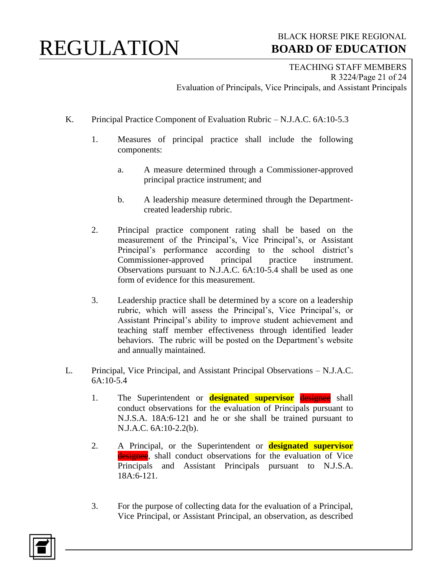### BLACK HORSE PIKE REGIONAL  **BOARD OF EDUCATION**

TEACHING STAFF MEMBERS R 3224/Page 21 of 24 Evaluation of Principals, Vice Principals, and Assistant Principals

- K. Principal Practice Component of Evaluation Rubric N.J.A.C. 6A:10-5.3
	- 1. Measures of principal practice shall include the following components:
		- a. A measure determined through a Commissioner-approved principal practice instrument; and
		- b. A leadership measure determined through the Departmentcreated leadership rubric.
	- 2. Principal practice component rating shall be based on the measurement of the Principal's, Vice Principal's, or Assistant Principal's performance according to the school district's Commissioner-approved principal practice instrument. Observations pursuant to N.J.A.C. 6A:10-5.4 shall be used as one form of evidence for this measurement.
	- 3. Leadership practice shall be determined by a score on a leadership rubric, which will assess the Principal's, Vice Principal's, or Assistant Principal's ability to improve student achievement and teaching staff member effectiveness through identified leader behaviors. The rubric will be posted on the Department's website and annually maintained.
- L. Principal, Vice Principal, and Assistant Principal Observations N.J.A.C. 6A:10-5.4
	- 1. The Superintendent or **designated supervisor** designee shall conduct observations for the evaluation of Principals pursuant to N.J.S.A. 18A:6-121 and he or she shall be trained pursuant to N.J.A.C. 6A:10-2.2(b).
	- 2. A Principal, or the Superintendent or **designated supervisor** designee, shall conduct observations for the evaluation of Vice Principals and Assistant Principals pursuant to N.J.S.A. 18A:6-121.
	- 3. For the purpose of collecting data for the evaluation of a Principal, Vice Principal, or Assistant Principal, an observation, as described

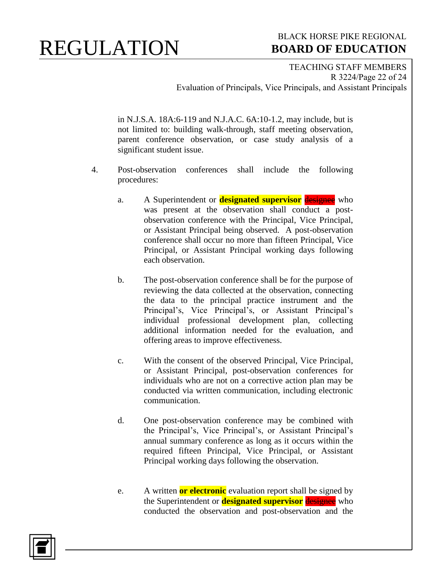### BLACK HORSE PIKE REGIONAL  **BOARD OF EDUCATION**

TEACHING STAFF MEMBERS R 3224/Page 22 of 24 Evaluation of Principals, Vice Principals, and Assistant Principals

in N.J.S.A. 18A:6-119 and N.J.A.C. 6A:10-1.2, may include, but is not limited to: building walk-through, staff meeting observation, parent conference observation, or case study analysis of a significant student issue.

- 4. Post-observation conferences shall include the following procedures:
	- a. A Superintendent or **designated supervisor** designee who was present at the observation shall conduct a postobservation conference with the Principal, Vice Principal, or Assistant Principal being observed. A post-observation conference shall occur no more than fifteen Principal, Vice Principal, or Assistant Principal working days following each observation.
	- b. The post-observation conference shall be for the purpose of reviewing the data collected at the observation, connecting the data to the principal practice instrument and the Principal's, Vice Principal's, or Assistant Principal's individual professional development plan, collecting additional information needed for the evaluation, and offering areas to improve effectiveness.
	- c. With the consent of the observed Principal, Vice Principal, or Assistant Principal, post-observation conferences for individuals who are not on a corrective action plan may be conducted via written communication, including electronic communication.
	- d. One post-observation conference may be combined with the Principal's, Vice Principal's, or Assistant Principal's annual summary conference as long as it occurs within the required fifteen Principal, Vice Principal, or Assistant Principal working days following the observation.
	- e. A written **or electronic** evaluation report shall be signed by the Superintendent or **designated supervisor** designee who conducted the observation and post-observation and the

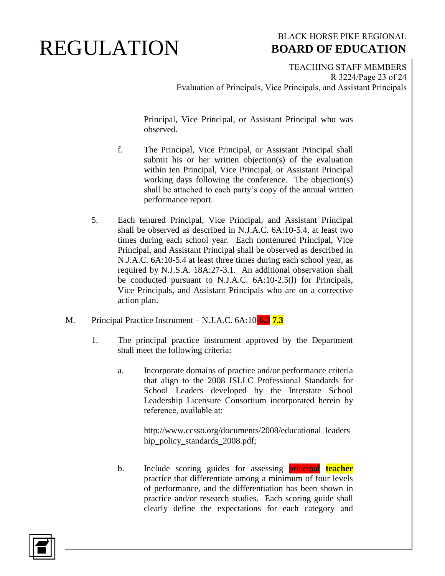### BLACK HORSE PIKE REGIONAL  **BOARD OF EDUCATION**

TEACHING STAFF MEMBERS R 3224/Page 23 of 24 Evaluation of Principals, Vice Principals, and Assistant Principals

Principal, Vice Principal, or Assistant Principal who was observed.

- f. The Principal, Vice Principal, or Assistant Principal shall submit his or her written objection(s) of the evaluation within ten Principal, Vice Principal, or Assistant Principal working days following the conference. The objection(s) shall be attached to each party's copy of the annual written performance report.
- 5. Each tenured Principal, Vice Principal, and Assistant Principal shall be observed as described in N.J.A.C. 6A:10-5.4, at least two times during each school year. Each nontenured Principal, Vice Principal, and Assistant Principal shall be observed as described in N.J.A.C. 6A:10-5.4 at least three times during each school year, as required by N.J.S.A. 18A:27-3.1. An additional observation shall be conducted pursuant to N.J.A.C. 6A:10-2.5(l) for Principals, Vice Principals, and Assistant Principals who are on a corrective action plan.
- M. Principal Practice Instrument N.J.A.C. 6A:10-6.3 **7.3**
	- 1. The principal practice instrument approved by the Department shall meet the following criteria:
		- a. Incorporate domains of practice and/or performance criteria that align to the 2008 ISLLC Professional Standards for School Leaders developed by the Interstate School Leadership Licensure Consortium incorporated herein by reference, available at:

http://www.ccsso.org/documents/2008/educational\_leaders hip\_policy\_standards\_2008.pdf;

b. Include scoring guides for assessing principal **teacher** practice that differentiate among a minimum of four levels of performance, and the differentiation has been shown in practice and/or research studies. Each scoring guide shall clearly define the expectations for each category and